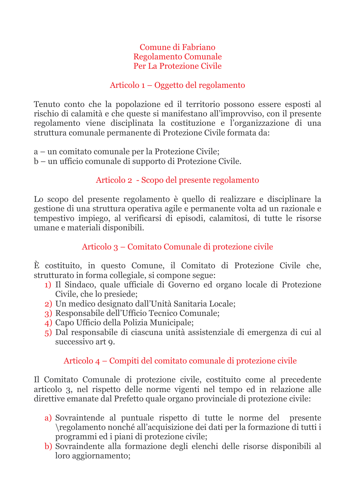#### Comune di Fabriano **Regolamento Comunale** Per La Protezione Civile

### Articolo 1 – Oggetto del regolamento

Tenuto conto che la popolazione ed il territorio possono essere esposti al rischio di calamità e che queste si manifestano all'improvviso, con il presente regolamento viene disciplinata la costituzione e l'organizzazione di una struttura comunale permanente di Protezione Civile formata da:

a – un comitato comunale per la Protezione Civile;

b – un ufficio comunale di supporto di Protezione Civile.

## Articolo 2 - Scopo del presente regolamento

Lo scopo del presente regolamento è quello di realizzare e disciplinare la gestione di una struttura operativa agile e permanente volta ad un razionale e tempestivo impiego, al verificarsi di episodi, calamitosi, di tutte le risorse umane e materiali disponibili.

## Articolo 3 – Comitato Comunale di protezione civile

È costituito, in questo Comune, il Comitato di Protezione Civile che, strutturato in forma collegiale, si compone segue:

- 1) Il Sindaco, quale ufficiale di Governo ed organo locale di Protezione Civile, che lo presiede:
- 2) Un medico designato dall'Unità Sanitaria Locale:
- 3) Responsabile dell'Ufficio Tecnico Comunale;
- 4) Capo Ufficio della Polizia Municipale;
- 5) Dal responsabile di ciascuna unità assistenziale di emergenza di cui al successivo art 9.

## Articolo 4 – Compiti del comitato comunale di protezione civile

Il Comitato Comunale di protezione civile, costituito come al precedente articolo 3, nel rispetto delle norme vigenti nel tempo ed in relazione alle direttive emanate dal Prefetto quale organo provinciale di protezione civile:

- a) Sovraintende al puntuale rispetto di tutte le norme del presente \regolamento nonché all'acquisizione dei dati per la formazione di tutti i programmi ed i piani di protezione civile:
- b) Sovraindente alla formazione degli elenchi delle risorse disponibili al loro aggiornamento;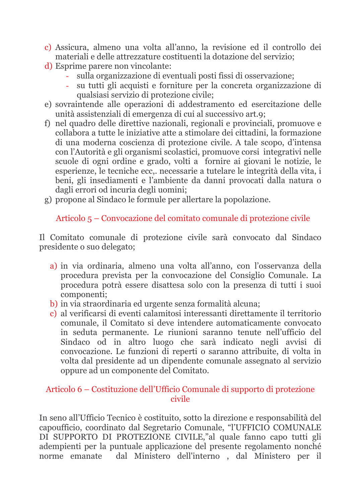- c) Assicura, almeno una volta all'anno, la revisione ed il controllo dei materiali e delle attrezzature costituenti la dotazione del servizio:
- d) Esprime parere non vincolante:
	- sulla organizzazione di eventuali posti fissi di osservazione:
	- su tutti gli acquisti e forniture per la concreta organizzazione di  $\omega$ qualsiasi servizio di protezione civile;
- e) sovraintende alle operazioni di addestramento ed esercitazione delle unità assistenziali di emergenza di cui al successivo art.9;
- f) nel quadro delle direttive nazionali, regionali e provinciali, promuove e collabora a tutte le iniziative atte a stimolare dei cittadini, la formazione di una moderna coscienza di protezione civile. A tale scopo, d'intensa con l'Autorità e gli organismi scolastici, promuove corsi integrativi nelle scuole di ogni ordine e grado, volti a fornire ai giovani le notizie, le esperienze, le tecniche ecc.. necessarie a tutelare le integrità della vita, i beni, gli insediamenti e l'ambiente da danni provocati dalla natura o dagli errori od incuria degli uomini;
- g) propone al Sindaco le formule per allertare la popolazione.

Articolo 5 – Convocazione del comitato comunale di protezione civile

Il Comitato comunale di protezione civile sarà convocato dal Sindaco presidente o suo delegato;

- a) in via ordinaria, almeno una volta all'anno, con l'osservanza della procedura prevista per la convocazione del Consiglio Comunale. La procedura potrà essere disattesa solo con la presenza di tutti i suoi componenti;
- b) in via straordinaria ed urgente senza formalità alcuna:
- c) al verificarsi di eventi calamitosi interessanti direttamente il territorio comunale, il Comitato si deve intendere automaticamente convocato in seduta permanente. Le riunioni saranno tenute nell'ufficio del Sindaco od in altro luogo che sarà indicato negli avvisi di convocazione. Le funzioni di reperti o saranno attribuite, di volta in volta dal presidente ad un dipendente comunale assegnato al servizio oppure ad un componente del Comitato.

### Articolo 6 – Costituzione dell'Ufficio Comunale di supporto di protezione civile

In seno all'Ufficio Tecnico è costituito, sotto la direzione e responsabilità del capoufficio, coordinato dal Segretario Comunale, "l'UFFICIO COMUNALE DI SUPPORTO DI PROTEZIONE CIVILE,"al quale fanno capo tutti gli adempienti per la puntuale applicazione del presente regolamento nonché norme emanate dal Ministero dell'interno, dal Ministero per il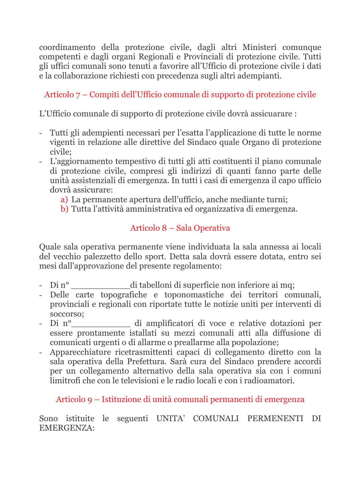coordinamento della protezione civile, dagli altri Ministeri comunque competenti e dagli organi Regionali e Provinciali di protezione civile. Tutti gli uffici comunali sono tenuti a favorire all'Ufficio di protezione civile i dati e la collaborazione richiesti con precedenza sugli altri adempianti.

# Articolo 7 – Compiti dell'Ufficio comunale di supporto di protezione civile

L'Ufficio comunale di supporto di protezione civile dovrà assicuarare :

- Tutti gli adempienti necessari per l'esatta l'applicazione di tutte le norme vigenti in relazione alle direttive del Sindaco quale Organo di protezione civile:
- L'aggiornamento tempestivo di tutti gli atti costituenti il piano comunale di protezione civile, compresi gli indirizzi di quanti fanno parte delle unità assistenziali di emergenza. In tutti i casi di emergenza il capo ufficio dovrà assicurare:
	- a) La permanente apertura dell'ufficio, anche mediante turni;
	- b) Tutta l'attività amministrativa ed organizzativa di emergenza.

# Articolo 8 – Sala Operativa

Quale sala operativa permanente viene individuata la sala annessa ai locali del vecchio palezzetto dello sport. Detta sala dovrà essere dotata, entro sei mesi dall'approvazione del presente regolamento:

- $Di n^{\circ}$ di tabelloni di superficie non inferiore ai mq;
- Delle carte topografiche e toponomastiche dei territori comunali, provinciali e regionali con riportate tutte le notizie uniti per interventi di soccorso:
- Di nº di amplificatori di voce e relative dotazioni per essere prontamente istallati su mezzi comunali atti alla diffusione di comunicati urgenti o di allarme o preallarme alla popolazione;
- Apparecchiature ricetrasmittenti capaci di collegamento diretto con la sala operativa della Prefettura. Sarà cura del Sindaco prendere accordi per un collegamento alternativo della sala operativa sia con i comuni limitrofi che con le televisioni e le radio locali e con i radioamatori.

Articolo 9 – Istituzione di unità comunali permanenti di emergenza

### Sono istituite le seguenti UNITA' COMUNALI PERMENENTI DI **EMERGENZA:**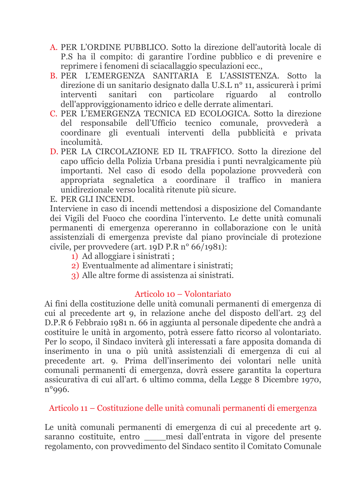- A. PER L'ORDINE PUBBLICO. Sotto la direzione dell'autorità locale di P.S ha il compito: di garantire l'ordine pubblico e di prevenire e reprimere i fenomeni di sciacallaggio speculazioni ecc.,
- B. PER L'EMERGENZA SANITARIA E L'ASSISTENZA. Sotto la direzione di un sanitario designato dalla U.S.L nº 11, assicurerà i primi interventi sanitari con particolare riguardo al controllo dell'approviggionamento idrico e delle derrate alimentari.
- C. PER L'EMERGENZA TECNICA ED ECOLOGICA. Sotto la direzione del responsabile dell'Ufficio tecnico comunale, provvederà a coordinare gli eventuali interventi della pubblicità e privata incolumità.
- D. PER LA CIRCOLAZIONE ED IL TRAFFICO. Sotto la direzione del capo ufficio della Polizia Urbana presidia i punti nevralgicamente più importanti. Nel caso di esodo della popolazione provvederà con appropriata segnaletica a coordinare il traffico in maniera unidirezionale verso località ritenute più sicure.

E. PER GLI INCENDI.

Interviene in caso di incendi mettendosi a disposizione del Comandante dei Vigili del Fuoco che coordina l'intervento. Le dette unità comunali permanenti di emergenza opereranno in collaborazione con le unità assistenziali di emergenza previste dal piano provinciale di protezione civile, per provvedere (art. 19D P.R  $n^{\circ}$  66/1981):

- 1) Ad alloggiare i sinistrati :
- 2) Eventualmente ad alimentare i sinistrati:
- 3) Alle altre forme di assistenza ai sinistrati.

#### Articolo 10 – Volontariato

Ai fini della costituzione delle unità comunali permanenti di emergenza di cui al precedente art 9, in relazione anche del disposto dell'art. 23 del D.P.R 6 Febbraio 1981 n. 66 in aggiunta al personale dipedente che andrà a costituire le unità in argomento, potrà essere fatto ricorso al volontariato. Per lo scopo, il Sindaco inviterà gli interessati a fare apposita domanda di inserimento in una o più unità assistenziali di emergenza di cui al precedente art. 9. Prima dell'inserimento dei volontari nelle unità comunali permanenti di emergenza, dovrà essere garantita la copertura assicurativa di cui all'art. 6 ultimo comma, della Legge 8 Dicembre 1970,  $n°$ 996.

### Articolo 11 – Costituzione delle unità comunali permanenti di emergenza

Le unità comunali permanenti di emergenza di cui al precedente art 9. saranno costituite, entro mesi dall'entrata in vigore del presente regolamento, con provvedimento del Sindaco sentito il Comitato Comunale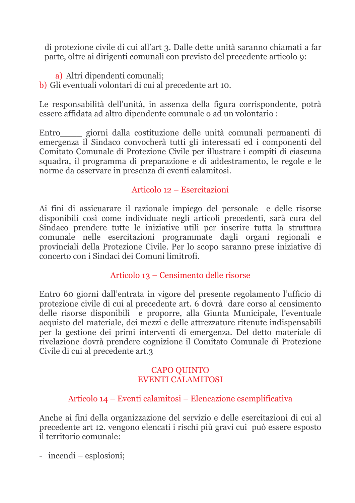di protezione civile di cui all'art 3. Dalle dette unità saranno chiamati a far parte, oltre ai dirigenti comunali con previsto del precedente articolo 9:

a) Altri dipendenti comunali: b) Gli eventuali volontari di cui al precedente art 10.

Le responsabilità dell'unità, in assenza della figura corrispondente, potrà essere affidata ad altro dipendente comunale o ad un volontario :

Entro giorni dalla costituzione delle unità comunali permanenti di emergenza il Sindaco convocherà tutti gli interessati ed i componenti del Comitato Comunale di Protezione Civile per illustrare i compiti di ciascuna squadra, il programma di preparazione e di addestramento, le regole e le norme da osservare in presenza di eventi calamitosi.

### Articolo 12 - Esercitazioni

Ai fini di assicuarare il razionale impiego del personale e delle risorse disponibili così come individuate negli articoli precedenti, sarà cura del Sindaco prendere tutte le iniziative utili per inserire tutta la struttura comunale nelle esercitazioni programmate dagli organi regionali e provinciali della Protezione Civile. Per lo scopo saranno prese iniziative di concerto con i Sindaci dei Comuni limitrofi.

## Articolo 13 – Censimento delle risorse

Entro 60 giorni dall'entrata in vigore del presente regolamento l'ufficio di protezione civile di cui al precedente art. 6 dovrà dare corso al censimento delle risorse disponibili e proporre, alla Giunta Municipale, l'eventuale acquisto del materiale, dei mezzi e delle attrezzature ritenute indispensabili per la gestione dei primi interventi di emergenza. Del detto materiale di rivelazione dovrà prendere cognizione il Comitato Comunale di Protezione Civile di cui al precedente art.3

### **CAPO QUINTO EVENTI CALAMITOSI**

## Articolo 14 – Eventi calamitosi – Elencazione esemplificativa

Anche ai fini della organizzazione del servizio e delle esercitazioni di cui al precedente art 12. vengono elencati i rischi più gravi cui può essere esposto il territorio comunale:

- incendi – esplosioni;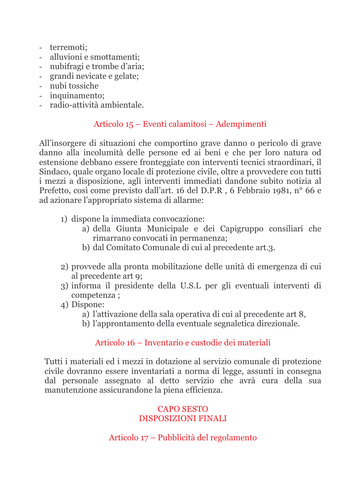- terremoti:
- alluvioni e smottamenti:
- nubifragi e trombe d'aria;
- grandi nevicate e gelate:
- nubi tossiche
- inquinamento;
- radio-attività ambientale.

### Articolo 15 – Eventi calamitosi – Adempimenti

All'insorgere di situazioni che comportino grave danno o pericolo di grave danno alla incolumità delle persone ed ai beni e che per loro natura od estensione debbano essere fronteggiate con interventi tecnici straordinari, il Sindaco, quale organo locale di protezione civile, oltre a provvedere con tutti i mezzi a disposizione, agli interventi immediati dandone subito notizia al Prefetto, così come previsto dall'art. 16 del D.P.R, 6 Febbraio 1981, nº 66 e ad azionare l'appropriato sistema di allarme:

- 1) dispone la immediata convocazione:
	- a) della Giunta Municipale e dei Capigruppo consiliari che rimarrano convocati in permanenza;
	- b) dal Comitato Comunale di cui al precedente art.3.
- 2) provvede alla pronta mobilitazione delle unità di emergenza di cui al precedente art 9;
- 3) informa il presidente della U.S.L per gli eventuali interventi di competenza;
- 4) Dispone:
	- a) l'attivazione della sala operativa di cui al precedente art 8,
	- b) l'approntamento della eventuale segnaletica direzionale.

### Articolo 16 – Inventario e custodie dei materiali

Tutti i materiali ed i mezzi in dotazione al servizio comunale di protezione civile dovranno essere inventariati a norma di legge, assunti in consegna dal personale assegnato al detto servizio che avrà cura della sua manutenzione assicurandone la piena efficienza.

### **CAPO SESTO DISPOSIZIONI FINALI**

### Articolo 17 – Pubblicità del regolamento